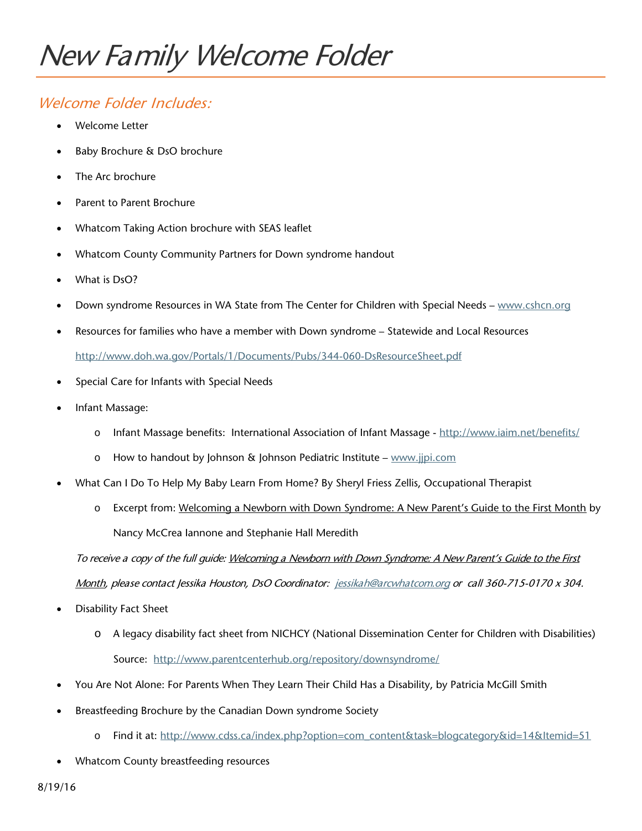## New Family Welcome Folder

## Welcome Folder Includes:

- Welcome Letter
- Baby Brochure & DsO brochure
- The Arc brochure
- Parent to Parent Brochure
- Whatcom Taking Action brochure with SEAS leaflet
- Whatcom County Community Partners for Down syndrome handout
- What is DsO?
- Down syndrome Resources in WA State from The Center for Children with Special Needs [www.cshcn.org](http://www.cshcn.org/)
- Resources for families who have a member with Down syndrome Statewide and Local Resources <http://www.doh.wa.gov/Portals/1/Documents/Pubs/344-060-DsResourceSheet.pdf>
- Special Care for Infants with Special Needs
- Infant Massage:
	- o Infant Massage benefits: International Association of Infant Massage <http://www.iaim.net/benefits/>
	- o How to handout by Johnson & Johnson Pediatric Institute [www.jjpi.com](http://www.jjpi.com/)
- What Can I Do To Help My Baby Learn From Home? By Sheryl Friess Zellis, Occupational Therapist
	- o Excerpt from: Welcoming a Newborn with Down Syndrome: A New Parent's Guide to the First Month by Nancy McCrea Iannone and Stephanie Hall Meredith

To receive a copy of the full guide: Welcoming a Newborn with Down Syndrome: A New Parent's Guide to the First

Month, please contact Jessika Houston, DsO Coordinator: [jessikah@arcwhatcom.org](mailto:jessikah@arcwhatcom.org) or call 360-715-0170 x 304.

- Disability Fact Sheet
	- o A legacy disability fact sheet from NICHCY (National Dissemination Center for Children with Disabilities) Source: <http://www.parentcenterhub.org/repository/downsyndrome/>
- You Are Not Alone: For Parents When They Learn Their Child Has a Disability, by Patricia McGill Smith
- Breastfeeding Brochure by the Canadian Down syndrome Society
	- o Find it at: [http://www.cdss.ca/index.php?option=com\\_content&task=blogcategory&id=14&Itemid=51](http://www.cdss.ca/index.php?option=com_content&task=blogcategory&id=14&Itemid=51)
- Whatcom County breastfeeding resources